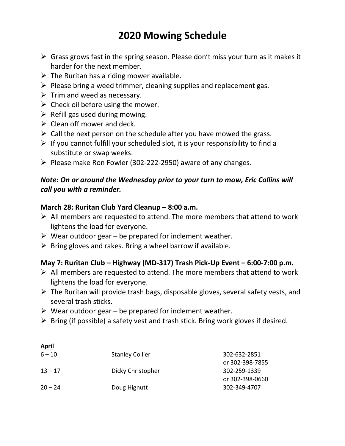## **2020 Mowing Schedule**

- $\triangleright$  Grass grows fast in the spring season. Please don't miss your turn as it makes it harder for the next member.
- $\triangleright$  The Ruritan has a riding mower available.
- $\triangleright$  Please bring a weed trimmer, cleaning supplies and replacement gas.
- $\triangleright$  Trim and weed as necessary.
- $\triangleright$  Check oil before using the mower.
- $\triangleright$  Refill gas used during mowing.
- $\triangleright$  Clean off mower and deck.

**April**

- $\triangleright$  Call the next person on the schedule after you have mowed the grass.
- $\triangleright$  If you cannot fulfill your scheduled slot, it is your responsibility to find a substitute or swap weeks.
- $\triangleright$  Please make Ron Fowler (302-222-2950) aware of any changes.

## *Note: On or around the Wednesday prior to your turn to mow, Eric Collins will call you with a reminder.*

## **March 28: Ruritan Club Yard Cleanup – 8:00 a.m.**

- $\triangleright$  All members are requested to attend. The more members that attend to work lightens the load for everyone.
- $\triangleright$  Wear outdoor gear be prepared for inclement weather.
- $\triangleright$  Bring gloves and rakes. Bring a wheel barrow if available.

## **May 7: Ruritan Club – Highway (MD-317) Trash Pick-Up Event – 6:00-7:00 p.m.**

- $\triangleright$  All members are requested to attend. The more members that attend to work lightens the load for everyone.
- $\triangleright$  The Ruritan will provide trash bags, disposable gloves, several safety vests, and several trash sticks.
- $\triangleright$  Wear outdoor gear be prepared for inclement weather.
- $\triangleright$  Bring (if possible) a safety vest and trash stick. Bring work gloves if desired.

| $6 - 10$  | <b>Stanley Collier</b> | 302-632-2851    |
|-----------|------------------------|-----------------|
|           |                        | or 302-398-7855 |
| $13 - 17$ | Dicky Christopher      | 302-259-1339    |
|           |                        | or 302-398-0660 |
| $20 - 24$ | Doug Hignutt           | 302-349-4707    |